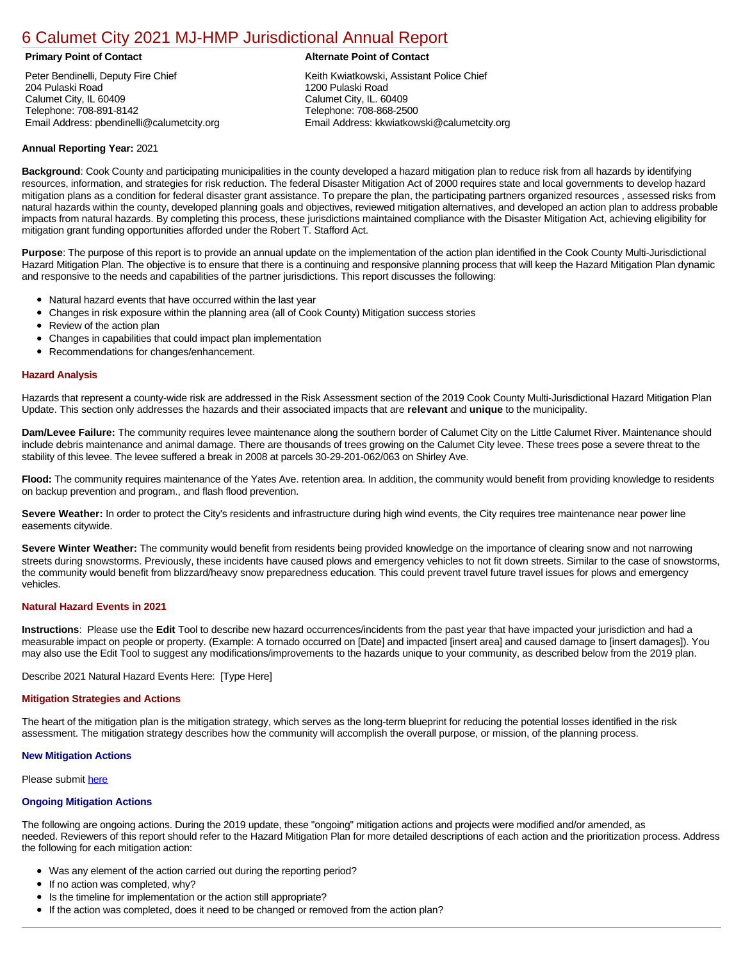# [6 Calumet City 2021 MJ-HMP Jurisdictional Annual Report](https://calumetcity.isc-cemp.com/Cemp/Details?id=8322822)

Peter Bendinelli, Deputy Fire Chief 204 Pulaski Road Calumet City, IL 60409 Telephone: 708-891-8142 Email Address: pbendinelli@calumetcity.org

# **Primary Point of Contact Alternate Point of Contact**

Keith Kwiatkowski, Assistant Police Chief 1200 Pulaski Road Calumet City, IL. 60409 Telephone: 708-868-2500 Email Address: kkwiatkowski@calumetcity.org

# **Annual Reporting Year:** 2021

**Background**: Cook County and participating municipalities in the county developed a hazard mitigation plan to reduce risk from all hazards by identifying resources, information, and strategies for risk reduction. The federal Disaster Mitigation Act of 2000 requires state and local governments to develop hazard mitigation plans as a condition for federal disaster grant assistance. To prepare the plan, the participating partners organized resources , assessed risks from natural hazards within the county, developed planning goals and objectives, reviewed mitigation alternatives, and developed an action plan to address probable impacts from natural hazards. By completing this process, these jurisdictions maintained compliance with the Disaster Mitigation Act, achieving eligibility for mitigation grant funding opportunities afforded under the Robert T. Stafford Act.

**Purpose**: The purpose of this report is to provide an annual update on the implementation of the action plan identified in the Cook County Multi-Jurisdictional Hazard Mitigation Plan. The objective is to ensure that there is a continuing and responsive planning process that will keep the Hazard Mitigation Plan dynamic and responsive to the needs and capabilities of the partner jurisdictions. This report discusses the following:

- Natural hazard events that have occurred within the last year
- $\bullet$ Changes in risk exposure within the planning area (all of Cook County) Mitigation success stories
- Review of the action plan  $\bullet$
- $\bullet$ Changes in capabilities that could impact plan implementation
- Recommendations for changes/enhancement.  $\bullet$

### **Hazard Analysis**

Hazards that represent a county-wide risk are addressed in the Risk Assessment section of the 2019 Cook County Multi-Jurisdictional Hazard Mitigation Plan Update. This section only addresses the hazards and their associated impacts that are **relevant** and **unique** to the municipality.

**Dam/Levee Failure:** The community requires levee maintenance along the southern border of Calumet City on the Little Calumet River. Maintenance should include debris maintenance and animal damage. There are thousands of trees growing on the Calumet City levee. These trees pose a severe threat to the stability of this levee. The levee suffered a break in 2008 at parcels 30-29-201-062/063 on Shirley Ave.

**Flood:** The community requires maintenance of the Yates Ave. retention area. In addition, the community would benefit from providing knowledge to residents on backup prevention and program., and flash flood prevention.

Severe Weather: In order to protect the City's residents and infrastructure during high wind events, the City requires tree maintenance near power line easements citywide.

**Severe Winter Weather:** The community would benefit from residents being provided knowledge on the importance of clearing snow and not narrowing streets during snowstorms. Previously, these incidents have caused plows and emergency vehicles to not fit down streets. Similar to the case of snowstorms, the community would benefit from blizzard/heavy snow preparedness education. This could prevent travel future travel issues for plows and emergency vehicles.

# **Natural Hazard Events in 2021**

**Instructions**: Please use the **Edit** Tool to describe new hazard occurrences/incidents from the past year that have impacted your jurisdiction and had a measurable impact on people or property. (Example: A tornado occurred on [Date] and impacted [insert area] and caused damage to [insert damages]). You may also use the Edit Tool to suggest any modifications/improvements to the hazards unique to your community, as described below from the 2019 plan.

Describe 2021 Natural Hazard Events Here: [Type Here]

#### **Mitigation Strategies and Actions**

The heart of the mitigation plan is the mitigation strategy, which serves as the long-term blueprint for reducing the potential losses identified in the risk assessment. The mitigation strategy describes how the community will accomplish the overall purpose, or mission, of the planning process.

# **New Mitigation Actions**

Please submit [here](https://integratedsolutions.wufoo.com/forms/mg21jvf0jn639o/)

# **Ongoing Mitigation Actions**

The following are ongoing actions. During the 2019 update, these "ongoing" mitigation actions and projects were modified and/or amended, as needed. Reviewers of this report should refer to the Hazard Mitigation Plan for more detailed descriptions of each action and the prioritization process. Address the following for each mitigation action:

- Was any element of the action carried out during the reporting period?
- If no action was completed, why?
- Is the timeline for implementation or the action still appropriate?
- If the action was completed, does it need to be changed or removed from the action plan?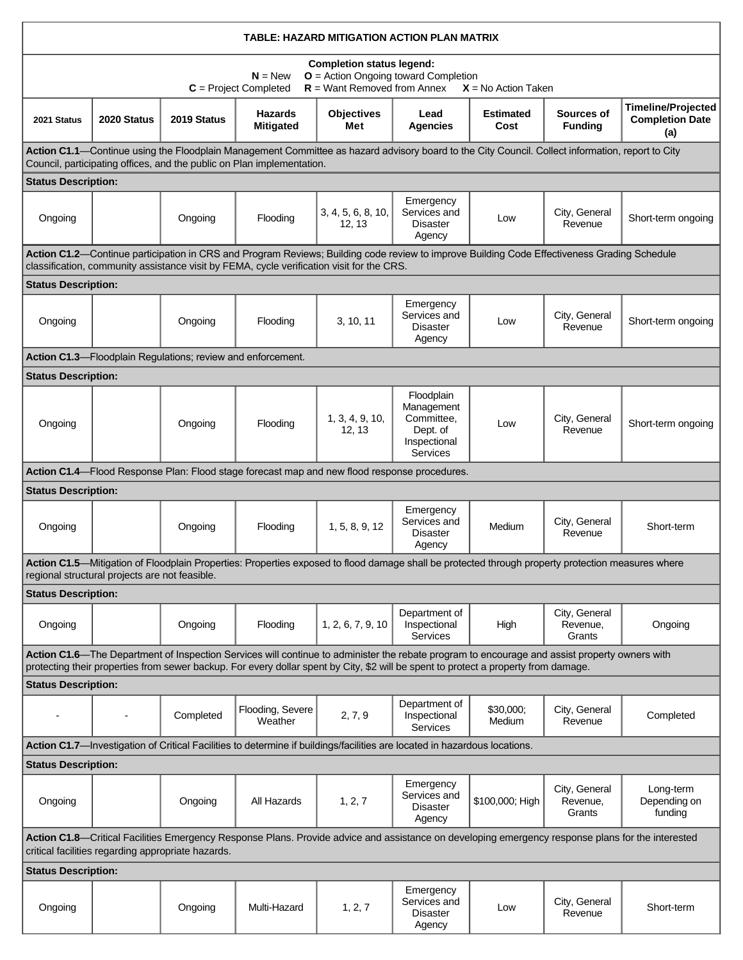| TABLE: HAZARD MITIGATION ACTION PLAN MATRIX                                                                                                                                                                                |                                                                                                                                                                                                                                          |             |                                                                                                                                                                                                                                                                                      |                              |                                                                                |                          |                                     |                                                            |  |  |
|----------------------------------------------------------------------------------------------------------------------------------------------------------------------------------------------------------------------------|------------------------------------------------------------------------------------------------------------------------------------------------------------------------------------------------------------------------------------------|-------------|--------------------------------------------------------------------------------------------------------------------------------------------------------------------------------------------------------------------------------------------------------------------------------------|------------------------------|--------------------------------------------------------------------------------|--------------------------|-------------------------------------|------------------------------------------------------------|--|--|
| <b>Completion status legend:</b><br>O = Action Ongoing toward Completion<br>$N = New$<br>$R =$ Want Removed from Annex<br>$C = Project Completed$<br>$X = No$ Action Taken                                                 |                                                                                                                                                                                                                                          |             |                                                                                                                                                                                                                                                                                      |                              |                                                                                |                          |                                     |                                                            |  |  |
| 2021 Status                                                                                                                                                                                                                | 2020 Status                                                                                                                                                                                                                              | 2019 Status | <b>Hazards</b><br><b>Mitigated</b>                                                                                                                                                                                                                                                   | <b>Objectives</b><br>Met     | Lead<br>Agencies                                                               | <b>Estimated</b><br>Cost | Sources of<br><b>Funding</b>        | <b>Timeline/Projected</b><br><b>Completion Date</b><br>(a) |  |  |
| Action C1.1—Continue using the Floodplain Management Committee as hazard advisory board to the City Council. Collect information, report to City<br>Council, participating offices, and the public on Plan implementation. |                                                                                                                                                                                                                                          |             |                                                                                                                                                                                                                                                                                      |                              |                                                                                |                          |                                     |                                                            |  |  |
| <b>Status Description:</b>                                                                                                                                                                                                 |                                                                                                                                                                                                                                          |             |                                                                                                                                                                                                                                                                                      |                              |                                                                                |                          |                                     |                                                            |  |  |
| Ongoing                                                                                                                                                                                                                    |                                                                                                                                                                                                                                          | Ongoing     | Flooding                                                                                                                                                                                                                                                                             | 3, 4, 5, 6, 8, 10,<br>12, 13 | Emergency<br>Services and<br><b>Disaster</b><br>Agency                         | Low                      | City, General<br>Revenue            | Short-term ongoing                                         |  |  |
|                                                                                                                                                                                                                            | Action C1.2—Continue participation in CRS and Program Reviews; Building code review to improve Building Code Effectiveness Grading Schedule<br>classification, community assistance visit by FEMA, cycle verification visit for the CRS. |             |                                                                                                                                                                                                                                                                                      |                              |                                                                                |                          |                                     |                                                            |  |  |
| <b>Status Description:</b>                                                                                                                                                                                                 |                                                                                                                                                                                                                                          |             |                                                                                                                                                                                                                                                                                      |                              |                                                                                |                          |                                     |                                                            |  |  |
| Ongoing                                                                                                                                                                                                                    |                                                                                                                                                                                                                                          | Ongoing     | Flooding                                                                                                                                                                                                                                                                             | 3, 10, 11                    | Emergency<br>Services and<br><b>Disaster</b><br>Agency                         | Low                      | City, General<br>Revenue            | Short-term ongoing                                         |  |  |
| Action C1.3-Floodplain Regulations; review and enforcement.                                                                                                                                                                |                                                                                                                                                                                                                                          |             |                                                                                                                                                                                                                                                                                      |                              |                                                                                |                          |                                     |                                                            |  |  |
| <b>Status Description:</b>                                                                                                                                                                                                 |                                                                                                                                                                                                                                          |             |                                                                                                                                                                                                                                                                                      |                              |                                                                                |                          |                                     |                                                            |  |  |
| Ongoing                                                                                                                                                                                                                    |                                                                                                                                                                                                                                          | Ongoing     | Flooding                                                                                                                                                                                                                                                                             | 1, 3, 4, 9, 10,<br>12, 13    | Floodplain<br>Management<br>Committee,<br>Dept. of<br>Inspectional<br>Services | Low                      | City, General<br>Revenue            | Short-term ongoing                                         |  |  |
|                                                                                                                                                                                                                            |                                                                                                                                                                                                                                          |             | Action C1.4-Flood Response Plan: Flood stage forecast map and new flood response procedures.                                                                                                                                                                                         |                              |                                                                                |                          |                                     |                                                            |  |  |
| <b>Status Description:</b>                                                                                                                                                                                                 |                                                                                                                                                                                                                                          |             |                                                                                                                                                                                                                                                                                      |                              |                                                                                |                          |                                     |                                                            |  |  |
| Ongoing                                                                                                                                                                                                                    |                                                                                                                                                                                                                                          | Ongoing     | Flooding                                                                                                                                                                                                                                                                             | 1, 5, 8, 9, 12               | Emergency<br>Services and<br><b>Disaster</b><br>Agency                         | Medium                   | City, General<br>Revenue            | Short-term                                                 |  |  |
|                                                                                                                                                                                                                            |                                                                                                                                                                                                                                          |             | Action C1.5—Mitigation of Floodplain Properties: Properties exposed to flood damage shall be protected through property protection measures where                                                                                                                                    |                              |                                                                                |                          |                                     |                                                            |  |  |
| <b>Status Description:</b>                                                                                                                                                                                                 | regional structural projects are not feasible.                                                                                                                                                                                           |             |                                                                                                                                                                                                                                                                                      |                              |                                                                                |                          |                                     |                                                            |  |  |
| Ongoing                                                                                                                                                                                                                    |                                                                                                                                                                                                                                          | Ongoing     | Flooding                                                                                                                                                                                                                                                                             | 1, 2, 6, 7, 9, 10            | Department of<br>Inspectional<br>Services                                      | High                     | City, General<br>Revenue,<br>Grants | Ongoing                                                    |  |  |
|                                                                                                                                                                                                                            |                                                                                                                                                                                                                                          |             | Action C1.6-The Department of Inspection Services will continue to administer the rebate program to encourage and assist property owners with<br>protecting their properties from sewer backup. For every dollar spent by City, \$2 will be spent to protect a property from damage. |                              |                                                                                |                          |                                     |                                                            |  |  |
| <b>Status Description:</b>                                                                                                                                                                                                 |                                                                                                                                                                                                                                          |             |                                                                                                                                                                                                                                                                                      |                              |                                                                                |                          |                                     |                                                            |  |  |
|                                                                                                                                                                                                                            |                                                                                                                                                                                                                                          | Completed   | Flooding, Severe<br>Weather                                                                                                                                                                                                                                                          | 2, 7, 9                      | Department of<br>Inspectional<br>Services                                      | \$30,000;<br>Medium      | City, General<br>Revenue            | Completed                                                  |  |  |
|                                                                                                                                                                                                                            |                                                                                                                                                                                                                                          |             | Action C1.7-Investigation of Critical Facilities to determine if buildings/facilities are located in hazardous locations.                                                                                                                                                            |                              |                                                                                |                          |                                     |                                                            |  |  |
| <b>Status Description:</b>                                                                                                                                                                                                 |                                                                                                                                                                                                                                          |             |                                                                                                                                                                                                                                                                                      |                              |                                                                                |                          |                                     |                                                            |  |  |
| Ongoing                                                                                                                                                                                                                    |                                                                                                                                                                                                                                          | Ongoing     | All Hazards                                                                                                                                                                                                                                                                          | 1, 2, 7                      | Emergency<br>Services and<br><b>Disaster</b><br>Agency                         | \$100,000; High          | City, General<br>Revenue,<br>Grants | Long-term<br>Depending on<br>funding                       |  |  |
| Action C1.8—Critical Facilities Emergency Response Plans. Provide advice and assistance on developing emergency response plans for the interested<br>critical facilities regarding appropriate hazards.                    |                                                                                                                                                                                                                                          |             |                                                                                                                                                                                                                                                                                      |                              |                                                                                |                          |                                     |                                                            |  |  |
| <b>Status Description:</b>                                                                                                                                                                                                 |                                                                                                                                                                                                                                          |             |                                                                                                                                                                                                                                                                                      |                              |                                                                                |                          |                                     |                                                            |  |  |
| Ongoing                                                                                                                                                                                                                    |                                                                                                                                                                                                                                          | Ongoing     | Multi-Hazard                                                                                                                                                                                                                                                                         | 1, 2, 7                      | Emergency<br>Services and<br>Disaster<br>Agency                                | Low                      | City, General<br>Revenue            | Short-term                                                 |  |  |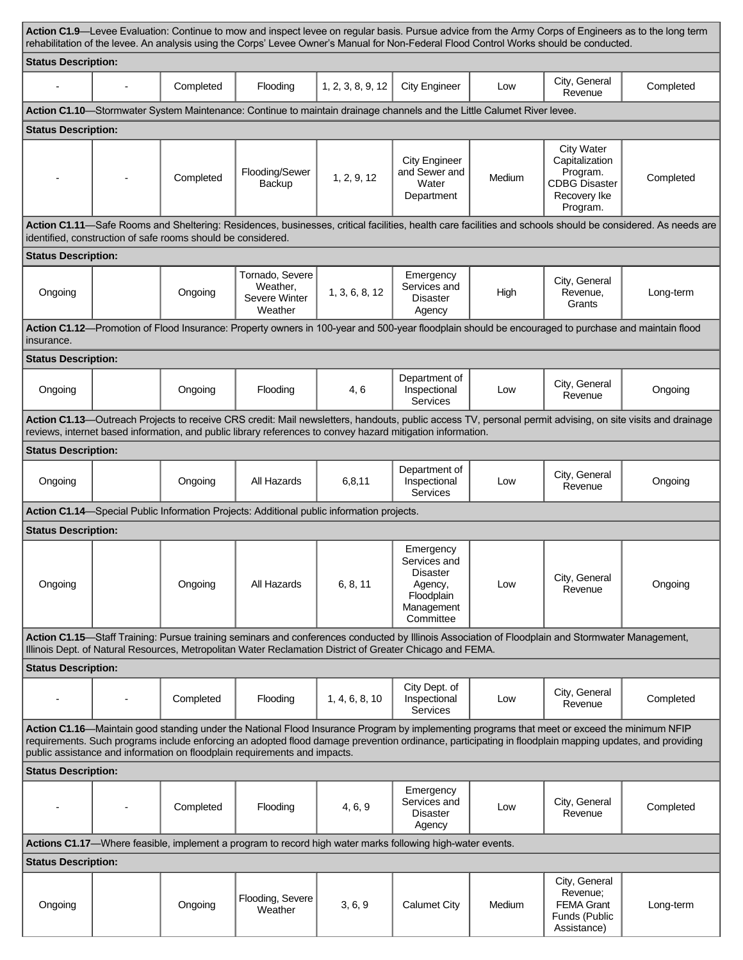| <b>Status Description:</b><br>City, General<br>Completed<br>Flooding<br>1, 2, 3, 8, 9, 12<br><b>City Engineer</b><br>Low<br>Revenue<br>Action C1.10-Stormwater System Maintenance: Continue to maintain drainage channels and the Little Calumet River levee.<br><b>Status Description:</b><br><b>City Water</b><br>Capitalization<br><b>City Engineer</b><br>Flooding/Sewer<br>and Sewer and<br>Program.<br>Medium<br>Completed<br>1, 2, 9, 12<br><b>CDBG Disaster</b><br>Backup<br>Water<br>Recovery Ike<br>Department<br>Program.<br>identified, construction of safe rooms should be considered.<br><b>Status Description:</b><br>Tornado, Severe<br>Emergency<br>City, General<br>Weather,<br>Services and<br>1, 3, 6, 8, 12<br>Ongoing<br>High<br>Ongoing<br>Revenue,<br>Severe Winter<br><b>Disaster</b><br>Grants<br>Weather<br>Agency<br>insurance.<br><b>Status Description:</b><br>Department of<br>City, General<br>Ongoing<br>Flooding<br>4, 6<br>Inspectional<br>Low<br>Ongoing<br>Revenue<br>Services<br>Action C1.13-Outreach Projects to receive CRS credit: Mail newsletters, handouts, public access TV, personal permit advising, on site visits and drainage<br>reviews, internet based information, and public library references to convey hazard mitigation information.<br><b>Status Description:</b><br>Department of<br>City, General |                                                                                                                                                            |  |  |  |  |  |  |  |  |  |
|------------------------------------------------------------------------------------------------------------------------------------------------------------------------------------------------------------------------------------------------------------------------------------------------------------------------------------------------------------------------------------------------------------------------------------------------------------------------------------------------------------------------------------------------------------------------------------------------------------------------------------------------------------------------------------------------------------------------------------------------------------------------------------------------------------------------------------------------------------------------------------------------------------------------------------------------------------------------------------------------------------------------------------------------------------------------------------------------------------------------------------------------------------------------------------------------------------------------------------------------------------------------------------------------------------------------------------------------------------------|------------------------------------------------------------------------------------------------------------------------------------------------------------|--|--|--|--|--|--|--|--|--|
|                                                                                                                                                                                                                                                                                                                                                                                                                                                                                                                                                                                                                                                                                                                                                                                                                                                                                                                                                                                                                                                                                                                                                                                                                                                                                                                                                                  |                                                                                                                                                            |  |  |  |  |  |  |  |  |  |
|                                                                                                                                                                                                                                                                                                                                                                                                                                                                                                                                                                                                                                                                                                                                                                                                                                                                                                                                                                                                                                                                                                                                                                                                                                                                                                                                                                  | Completed                                                                                                                                                  |  |  |  |  |  |  |  |  |  |
|                                                                                                                                                                                                                                                                                                                                                                                                                                                                                                                                                                                                                                                                                                                                                                                                                                                                                                                                                                                                                                                                                                                                                                                                                                                                                                                                                                  |                                                                                                                                                            |  |  |  |  |  |  |  |  |  |
|                                                                                                                                                                                                                                                                                                                                                                                                                                                                                                                                                                                                                                                                                                                                                                                                                                                                                                                                                                                                                                                                                                                                                                                                                                                                                                                                                                  |                                                                                                                                                            |  |  |  |  |  |  |  |  |  |
|                                                                                                                                                                                                                                                                                                                                                                                                                                                                                                                                                                                                                                                                                                                                                                                                                                                                                                                                                                                                                                                                                                                                                                                                                                                                                                                                                                  | Completed                                                                                                                                                  |  |  |  |  |  |  |  |  |  |
|                                                                                                                                                                                                                                                                                                                                                                                                                                                                                                                                                                                                                                                                                                                                                                                                                                                                                                                                                                                                                                                                                                                                                                                                                                                                                                                                                                  | Action C1.11—Safe Rooms and Sheltering: Residences, businesses, critical facilities, health care facilities and schools should be considered. As needs are |  |  |  |  |  |  |  |  |  |
|                                                                                                                                                                                                                                                                                                                                                                                                                                                                                                                                                                                                                                                                                                                                                                                                                                                                                                                                                                                                                                                                                                                                                                                                                                                                                                                                                                  |                                                                                                                                                            |  |  |  |  |  |  |  |  |  |
|                                                                                                                                                                                                                                                                                                                                                                                                                                                                                                                                                                                                                                                                                                                                                                                                                                                                                                                                                                                                                                                                                                                                                                                                                                                                                                                                                                  | Long-term                                                                                                                                                  |  |  |  |  |  |  |  |  |  |
|                                                                                                                                                                                                                                                                                                                                                                                                                                                                                                                                                                                                                                                                                                                                                                                                                                                                                                                                                                                                                                                                                                                                                                                                                                                                                                                                                                  | Action C1.12—Promotion of Flood Insurance: Property owners in 100-year and 500-year floodplain should be encouraged to purchase and maintain flood         |  |  |  |  |  |  |  |  |  |
|                                                                                                                                                                                                                                                                                                                                                                                                                                                                                                                                                                                                                                                                                                                                                                                                                                                                                                                                                                                                                                                                                                                                                                                                                                                                                                                                                                  |                                                                                                                                                            |  |  |  |  |  |  |  |  |  |
|                                                                                                                                                                                                                                                                                                                                                                                                                                                                                                                                                                                                                                                                                                                                                                                                                                                                                                                                                                                                                                                                                                                                                                                                                                                                                                                                                                  | Ongoing                                                                                                                                                    |  |  |  |  |  |  |  |  |  |
|                                                                                                                                                                                                                                                                                                                                                                                                                                                                                                                                                                                                                                                                                                                                                                                                                                                                                                                                                                                                                                                                                                                                                                                                                                                                                                                                                                  |                                                                                                                                                            |  |  |  |  |  |  |  |  |  |
|                                                                                                                                                                                                                                                                                                                                                                                                                                                                                                                                                                                                                                                                                                                                                                                                                                                                                                                                                                                                                                                                                                                                                                                                                                                                                                                                                                  |                                                                                                                                                            |  |  |  |  |  |  |  |  |  |
| Ongoing<br>All Hazards<br>6,8,11<br>Ongoing<br>Inspectional<br>Low<br>Revenue<br>Services                                                                                                                                                                                                                                                                                                                                                                                                                                                                                                                                                                                                                                                                                                                                                                                                                                                                                                                                                                                                                                                                                                                                                                                                                                                                        | Ongoing                                                                                                                                                    |  |  |  |  |  |  |  |  |  |
| Action C1.14-Special Public Information Projects: Additional public information projects.                                                                                                                                                                                                                                                                                                                                                                                                                                                                                                                                                                                                                                                                                                                                                                                                                                                                                                                                                                                                                                                                                                                                                                                                                                                                        |                                                                                                                                                            |  |  |  |  |  |  |  |  |  |
| <b>Status Description:</b>                                                                                                                                                                                                                                                                                                                                                                                                                                                                                                                                                                                                                                                                                                                                                                                                                                                                                                                                                                                                                                                                                                                                                                                                                                                                                                                                       |                                                                                                                                                            |  |  |  |  |  |  |  |  |  |
| Emergency<br>Services and<br><b>Disaster</b><br>City, General<br>6, 8, 11<br>Ongoing<br>Ongoing<br>All Hazards<br>Agency,<br>Low<br>Revenue<br>Floodplain<br>Management<br>Committee                                                                                                                                                                                                                                                                                                                                                                                                                                                                                                                                                                                                                                                                                                                                                                                                                                                                                                                                                                                                                                                                                                                                                                             | Ongoing                                                                                                                                                    |  |  |  |  |  |  |  |  |  |
| Action C1.15-Staff Training: Pursue training seminars and conferences conducted by Illinois Association of Floodplain and Stormwater Management,<br>Illinois Dept. of Natural Resources, Metropolitan Water Reclamation District of Greater Chicago and FEMA.                                                                                                                                                                                                                                                                                                                                                                                                                                                                                                                                                                                                                                                                                                                                                                                                                                                                                                                                                                                                                                                                                                    |                                                                                                                                                            |  |  |  |  |  |  |  |  |  |
| <b>Status Description:</b>                                                                                                                                                                                                                                                                                                                                                                                                                                                                                                                                                                                                                                                                                                                                                                                                                                                                                                                                                                                                                                                                                                                                                                                                                                                                                                                                       |                                                                                                                                                            |  |  |  |  |  |  |  |  |  |
| City Dept. of<br>City, General<br>Completed<br>Flooding<br>Inspectional<br>1, 4, 6, 8, 10<br>Low<br>Revenue<br>Services                                                                                                                                                                                                                                                                                                                                                                                                                                                                                                                                                                                                                                                                                                                                                                                                                                                                                                                                                                                                                                                                                                                                                                                                                                          | Completed                                                                                                                                                  |  |  |  |  |  |  |  |  |  |
| Action C1.16—Maintain good standing under the National Flood Insurance Program by implementing programs that meet or exceed the minimum NFIP<br>requirements. Such programs include enforcing an adopted flood damage prevention ordinance, participating in floodplain mapping updates, and providing<br>public assistance and information on floodplain requirements and impacts.                                                                                                                                                                                                                                                                                                                                                                                                                                                                                                                                                                                                                                                                                                                                                                                                                                                                                                                                                                              |                                                                                                                                                            |  |  |  |  |  |  |  |  |  |
| <b>Status Description:</b>                                                                                                                                                                                                                                                                                                                                                                                                                                                                                                                                                                                                                                                                                                                                                                                                                                                                                                                                                                                                                                                                                                                                                                                                                                                                                                                                       |                                                                                                                                                            |  |  |  |  |  |  |  |  |  |
| Emergency<br>Services and<br>City, General<br>Completed<br>Flooding<br>4, 6, 9<br>Low<br><b>Disaster</b><br>Revenue<br>Agency                                                                                                                                                                                                                                                                                                                                                                                                                                                                                                                                                                                                                                                                                                                                                                                                                                                                                                                                                                                                                                                                                                                                                                                                                                    | Completed                                                                                                                                                  |  |  |  |  |  |  |  |  |  |
| Actions C1.17-Where feasible, implement a program to record high water marks following high-water events.                                                                                                                                                                                                                                                                                                                                                                                                                                                                                                                                                                                                                                                                                                                                                                                                                                                                                                                                                                                                                                                                                                                                                                                                                                                        |                                                                                                                                                            |  |  |  |  |  |  |  |  |  |
| <b>Status Description:</b>                                                                                                                                                                                                                                                                                                                                                                                                                                                                                                                                                                                                                                                                                                                                                                                                                                                                                                                                                                                                                                                                                                                                                                                                                                                                                                                                       |                                                                                                                                                            |  |  |  |  |  |  |  |  |  |
| City, General<br>Revenue:<br>Flooding, Severe<br>3, 6, 9<br><b>Calumet City</b><br>Medium<br><b>FEMA Grant</b><br>Ongoing<br>Ongoing<br>Weather<br>Funds (Public<br>Assistance)                                                                                                                                                                                                                                                                                                                                                                                                                                                                                                                                                                                                                                                                                                                                                                                                                                                                                                                                                                                                                                                                                                                                                                                  | Long-term                                                                                                                                                  |  |  |  |  |  |  |  |  |  |